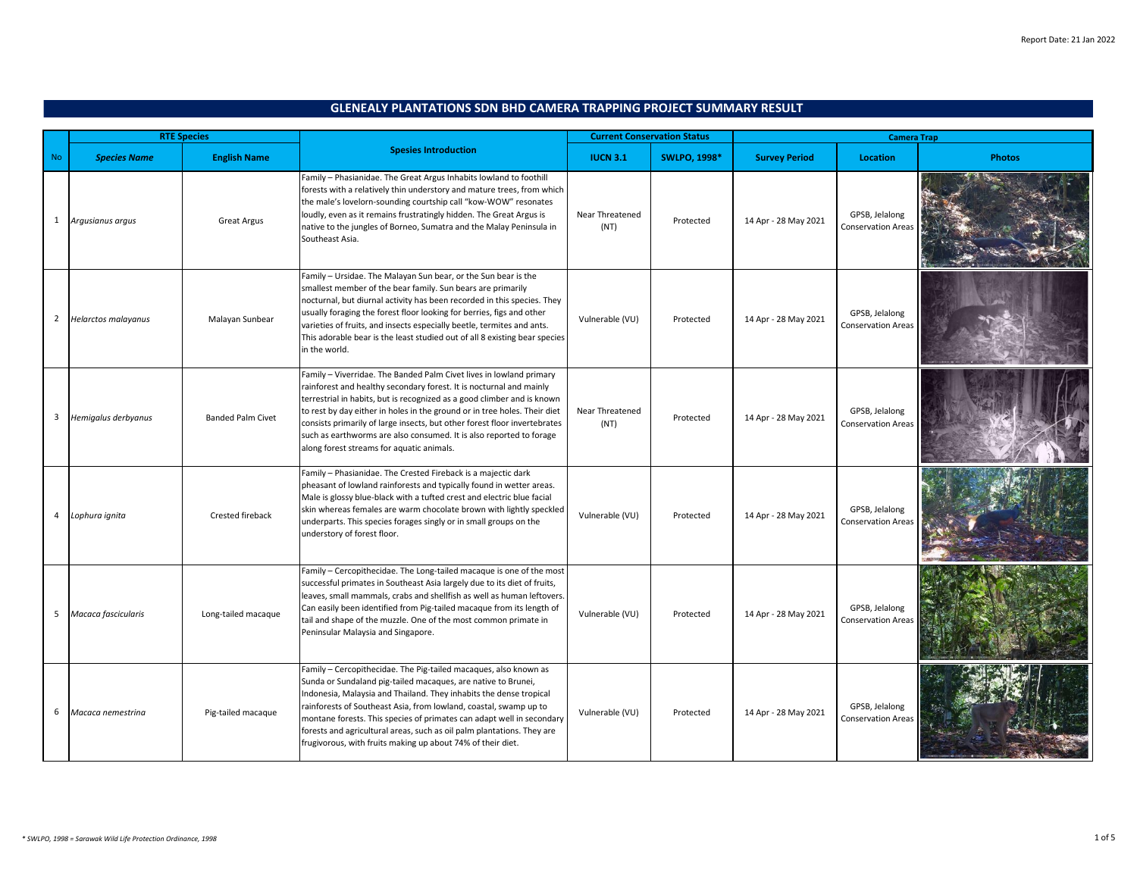|                |                     | <b>RTE Species</b>       |                                                                                                                                                                                                                                                                                                                                                                                                                                                                                                     | <b>Current Conservation Status</b> |                     | <b>Camera Trap</b>   |                                             |               |
|----------------|---------------------|--------------------------|-----------------------------------------------------------------------------------------------------------------------------------------------------------------------------------------------------------------------------------------------------------------------------------------------------------------------------------------------------------------------------------------------------------------------------------------------------------------------------------------------------|------------------------------------|---------------------|----------------------|---------------------------------------------|---------------|
| <b>No</b>      | <b>Species Name</b> | <b>English Name</b>      | <b>Spesies Introduction</b>                                                                                                                                                                                                                                                                                                                                                                                                                                                                         | <b>IUCN 3.1</b>                    | <b>SWLPO, 1998*</b> | <b>Survey Period</b> | <b>Location</b>                             | <b>Photos</b> |
| $\mathbf{1}$   | Argusianus argus    | <b>Great Argus</b>       | Family - Phasianidae. The Great Argus Inhabits lowland to foothill<br>forests with a relatively thin understory and mature trees, from which<br>the male's lovelorn-sounding courtship call "kow-WOW" resonates<br>loudly, even as it remains frustratingly hidden. The Great Argus is<br>native to the jungles of Borneo, Sumatra and the Malay Peninsula in<br>Southeast Asia.                                                                                                                    | Near Threatened<br>(NT)            | Protected           | 14 Apr - 28 May 2021 | GPSB, Jelalong<br>Conservation Area:        |               |
| $\overline{2}$ | Helarctos malayanus | Malayan Sunbear          | Family - Ursidae. The Malayan Sun bear, or the Sun bear is the<br>smallest member of the bear family. Sun bears are primarily<br>nocturnal, but diurnal activity has been recorded in this species. They<br>usually foraging the forest floor looking for berries, figs and other<br>varieties of fruits, and insects especially beetle, termites and ants.<br>This adorable bear is the least studied out of all 8 existing bear species<br>in the world.                                          | Vulnerable (VU)                    | Protected           | 14 Apr - 28 May 2021 | GPSB, Jelalong<br><b>Conservation Areas</b> |               |
| 3              | Hemigalus derbyanus | <b>Banded Palm Civet</b> | Family - Viverridae. The Banded Palm Civet lives in lowland primary<br>rainforest and healthy secondary forest. It is nocturnal and mainly<br>terrestrial in habits, but is recognized as a good climber and is known<br>to rest by day either in holes in the ground or in tree holes. Their diet<br>consists primarily of large insects, but other forest floor invertebrates<br>such as earthworms are also consumed. It is also reported to forage<br>along forest streams for aquatic animals. | Near Threatened<br>(NT)            | Protected           | 14 Apr - 28 May 2021 | GPSB, Jelalong<br><b>Conservation Areas</b> |               |
| 4              | Lophura ignita      | Crested fireback         | Family - Phasianidae. The Crested Fireback is a majectic dark<br>pheasant of lowland rainforests and typically found in wetter areas.<br>Male is glossy blue-black with a tufted crest and electric blue facial<br>skin whereas females are warm chocolate brown with lightly speckled<br>underparts. This species forages singly or in small groups on the<br>understory of forest floor.                                                                                                          | Vulnerable (VU)                    | Protected           | 14 Apr - 28 May 2021 | GPSB, Jelalong<br><b>Conservation Areas</b> |               |
| 5              | Macaca fascicularis | Long-tailed macaque      | Family - Cercopithecidae. The Long-tailed macaque is one of the most<br>successful primates in Southeast Asia largely due to its diet of fruits,<br>leaves, small mammals, crabs and shellfish as well as human leftovers<br>Can easily been identified from Pig-tailed macaque from its length of<br>tail and shape of the muzzle. One of the most common primate in<br>Peninsular Malaysia and Singapore.                                                                                         | Vulnerable (VU)                    | Protected           | 14 Apr - 28 May 2021 | GPSB, Jelalong<br><b>Conservation Areas</b> |               |
| 6              | Macaca nemestrina   | Pig-tailed macaque       | Family - Cercopithecidae. The Pig-tailed macaques, also known as<br>Sunda or Sundaland pig-tailed macaques, are native to Brunei,<br>Indonesia, Malaysia and Thailand. They inhabits the dense tropical<br>rainforests of Southeast Asia, from lowland, coastal, swamp up to<br>montane forests. This species of primates can adapt well in secondary<br>forests and agricultural areas, such as oil palm plantations. They are<br>frugivorous, with fruits making up about 74% of their diet.      | Vulnerable (VU)                    | Protected           | 14 Apr - 28 May 2021 | GPSB, Jelalong<br><b>Conservation Areas</b> |               |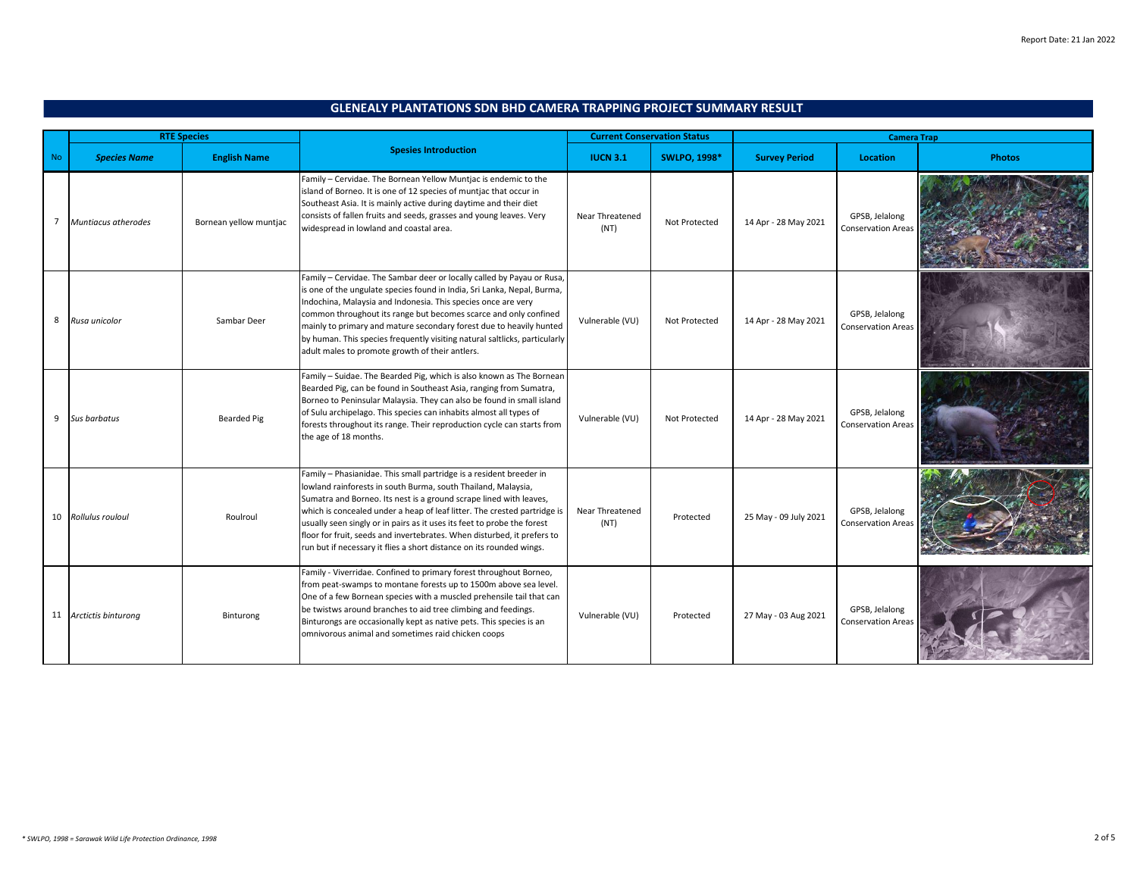|           |                        | <b>RTE Species</b>     |                                                                                                                                                                                                                                                                                                                                                                                                                                                                                                                      |                         | <b>Current Conservation Status</b> |                       |                                             | <b>Camera Trap</b> |  |  |
|-----------|------------------------|------------------------|----------------------------------------------------------------------------------------------------------------------------------------------------------------------------------------------------------------------------------------------------------------------------------------------------------------------------------------------------------------------------------------------------------------------------------------------------------------------------------------------------------------------|-------------------------|------------------------------------|-----------------------|---------------------------------------------|--------------------|--|--|
| <b>No</b> | <b>Species Name</b>    | <b>English Name</b>    | <b>Spesies Introduction</b>                                                                                                                                                                                                                                                                                                                                                                                                                                                                                          | <b>IUCN 3.1</b>         | <b>SWLPO, 1998*</b>                | <b>Survey Period</b>  | <b>Location</b>                             | <b>Photos</b>      |  |  |
| 7         | Muntiacus atherodes    | Bornean yellow muntjac | Family - Cervidae. The Bornean Yellow Muntjac is endemic to the<br>island of Borneo. It is one of 12 species of muntjac that occur in<br>Southeast Asia. It is mainly active during daytime and their diet<br>consists of fallen fruits and seeds, grasses and young leaves. Very<br>widespread in lowland and coastal area.                                                                                                                                                                                         | Near Threatened<br>(NT) | Not Protected                      | 14 Apr - 28 May 2021  | GPSB, Jelalong<br><b>Conservation Areas</b> |                    |  |  |
| 8         | Rusa unicolor          | Sambar Deer            | Family - Cervidae. The Sambar deer or locally called by Payau or Rusa,<br>is one of the ungulate species found in India, Sri Lanka, Nepal, Burma,<br>Indochina, Malaysia and Indonesia. This species once are very<br>common throughout its range but becomes scarce and only confined<br>mainly to primary and mature secondary forest due to heavily hunted<br>by human. This species frequently visiting natural saltlicks, particularly<br>adult males to promote growth of their antlers.                       | Vulnerable (VU)         | Not Protected                      | 14 Apr - 28 May 2021  | GPSB, Jelalong<br><b>Conservation Areas</b> |                    |  |  |
| 9         | <b>Sus barbatus</b>    | Bearded Pig            | Family - Suidae. The Bearded Pig, which is also known as The Bornean<br>Bearded Pig, can be found in Southeast Asia, ranging from Sumatra,<br>Borneo to Peninsular Malaysia. They can also be found in small island<br>of Sulu archipelago. This species can inhabits almost all types of<br>forests throughout its range. Their reproduction cycle can starts from<br>the age of 18 months.                                                                                                                         | Vulnerable (VU)         | Not Protected                      | 14 Apr - 28 May 2021  | GPSB, Jelalong<br><b>Conservation Areas</b> |                    |  |  |
|           | 10 Rollulus rouloul    | Roulroul               | Family - Phasianidae. This small partridge is a resident breeder in<br>lowland rainforests in south Burma, south Thailand, Malaysia,<br>Sumatra and Borneo. Its nest is a ground scrape lined with leaves,<br>which is concealed under a heap of leaf litter. The crested partridge is<br>usually seen singly or in pairs as it uses its feet to probe the forest<br>floor for fruit, seeds and invertebrates. When disturbed, it prefers to<br>run but if necessary it flies a short distance on its rounded wings. | Near Threatened<br>(NT) | Protected                          | 25 May - 09 July 2021 | GPSB, Jelalong<br><b>Conservation Areas</b> |                    |  |  |
|           | 11 Arctictis binturong | Binturong              | Family - Viverridae. Confined to primary forest throughout Borneo,<br>from peat-swamps to montane forests up to 1500m above sea level.<br>One of a few Bornean species with a muscled prehensile tail that can<br>be twistws around branches to aid tree climbing and feedings.<br>Binturongs are occasionally kept as native pets. This species is an<br>omnivorous animal and sometimes raid chicken coops                                                                                                         | Vulnerable (VU)         | Protected                          | 27 May - 03 Aug 2021  | GPSB. Jelalong<br><b>Conservation Areas</b> |                    |  |  |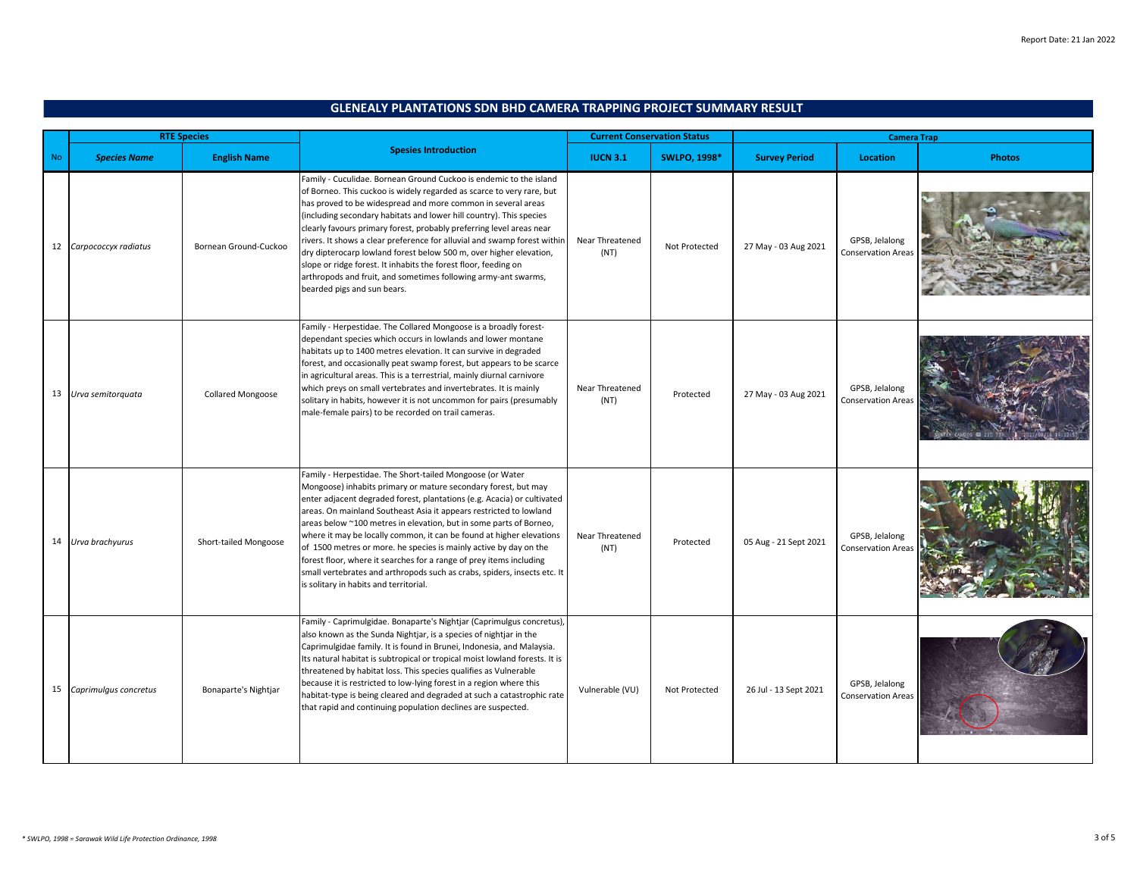|           |                       | <b>RTE Species</b>       |                                                                                                                                                                                                                                                                                                                                                                                                                                                                                                                                                                                                                                                                                             | <b>Current Conservation Status</b> |                     | <b>Camera Trap</b>    |                                             |               |
|-----------|-----------------------|--------------------------|---------------------------------------------------------------------------------------------------------------------------------------------------------------------------------------------------------------------------------------------------------------------------------------------------------------------------------------------------------------------------------------------------------------------------------------------------------------------------------------------------------------------------------------------------------------------------------------------------------------------------------------------------------------------------------------------|------------------------------------|---------------------|-----------------------|---------------------------------------------|---------------|
| <b>No</b> | <b>Species Name</b>   | <b>English Name</b>      | <b>Spesies Introduction</b>                                                                                                                                                                                                                                                                                                                                                                                                                                                                                                                                                                                                                                                                 | <b>IUCN 3.1</b>                    | <b>SWLPO, 1998*</b> | <b>Survey Period</b>  | <b>Location</b>                             | <b>Photos</b> |
| 12        | Carpococcyx radiatus  | Bornean Ground-Cuckoo    | Family - Cuculidae. Bornean Ground Cuckoo is endemic to the island<br>of Borneo. This cuckoo is widely regarded as scarce to very rare, but<br>has proved to be widespread and more common in several areas<br>(including secondary habitats and lower hill country). This species<br>clearly favours primary forest, probably preferring level areas near<br>rivers. It shows a clear preference for alluvial and swamp forest within<br>dry dipterocarp lowland forest below 500 m, over higher elevation,<br>slope or ridge forest. It inhabits the forest floor, feeding on<br>arthropods and fruit, and sometimes following army-ant swarms,<br>bearded pigs and sun bears.            | Near Threatened<br>(NT)            | Not Protected       | 27 May - 03 Aug 2021  | GPSB. Jelalong<br><b>Conservation Areas</b> |               |
|           | 13 Urva semitorquata  | <b>Collared Mongoose</b> | Family - Herpestidae. The Collared Mongoose is a broadly forest-<br>dependant species which occurs in lowlands and lower montane<br>habitats up to 1400 metres elevation. It can survive in degraded<br>forest, and occasionally peat swamp forest, but appears to be scarce<br>in agricultural areas. This is a terrestrial, mainly diurnal carnivore<br>which preys on small vertebrates and invertebrates. It is mainly<br>solitary in habits, however it is not uncommon for pairs (presumably<br>male-female pairs) to be recorded on trail cameras.                                                                                                                                   | Near Threatened<br>(NT)            | Protected           | 27 May - 03 Aug 2021  | GPSB, Jelalong<br><b>Conservation Areas</b> |               |
|           | 14 Urva brachyurus    | Short-tailed Mongoose    | Family - Herpestidae. The Short-tailed Mongoose (or Water<br>Mongoose) inhabits primary or mature secondary forest, but may<br>enter adjacent degraded forest, plantations (e.g. Acacia) or cultivated<br>areas. On mainland Southeast Asia it appears restricted to lowland<br>areas below ~100 metres in elevation, but in some parts of Borneo,<br>where it may be locally common, it can be found at higher elevations<br>of 1500 metres or more. he species is mainly active by day on the<br>forest floor, where it searches for a range of prey items including<br>small vertebrates and arthropods such as crabs, spiders, insects etc. It<br>s solitary in habits and territorial. | Near Threatened<br>(NT)            | Protected           | 05 Aug - 21 Sept 2021 | GPSB, Jelalong<br><b>Conservation Area</b>  |               |
| 15        | Caprimulgus concretus | Bonaparte's Nightjar     | Family - Caprimulgidae. Bonaparte's Nightjar (Caprimulgus concretus),<br>also known as the Sunda Nightjar, is a species of nightjar in the<br>Caprimulgidae family. It is found in Brunei, Indonesia, and Malaysia.<br>Its natural habitat is subtropical or tropical moist lowland forests. It is<br>threatened by habitat loss. This species qualifies as Vulnerable<br>because it is restricted to low-lying forest in a region where this<br>habitat-type is being cleared and degraded at such a catastrophic rate<br>that rapid and continuing population declines are suspected.                                                                                                     | Vulnerable (VU)                    | Not Protected       | 26 Jul - 13 Sept 2021 | GPSB, Jelalong<br><b>Conservation Areas</b> |               |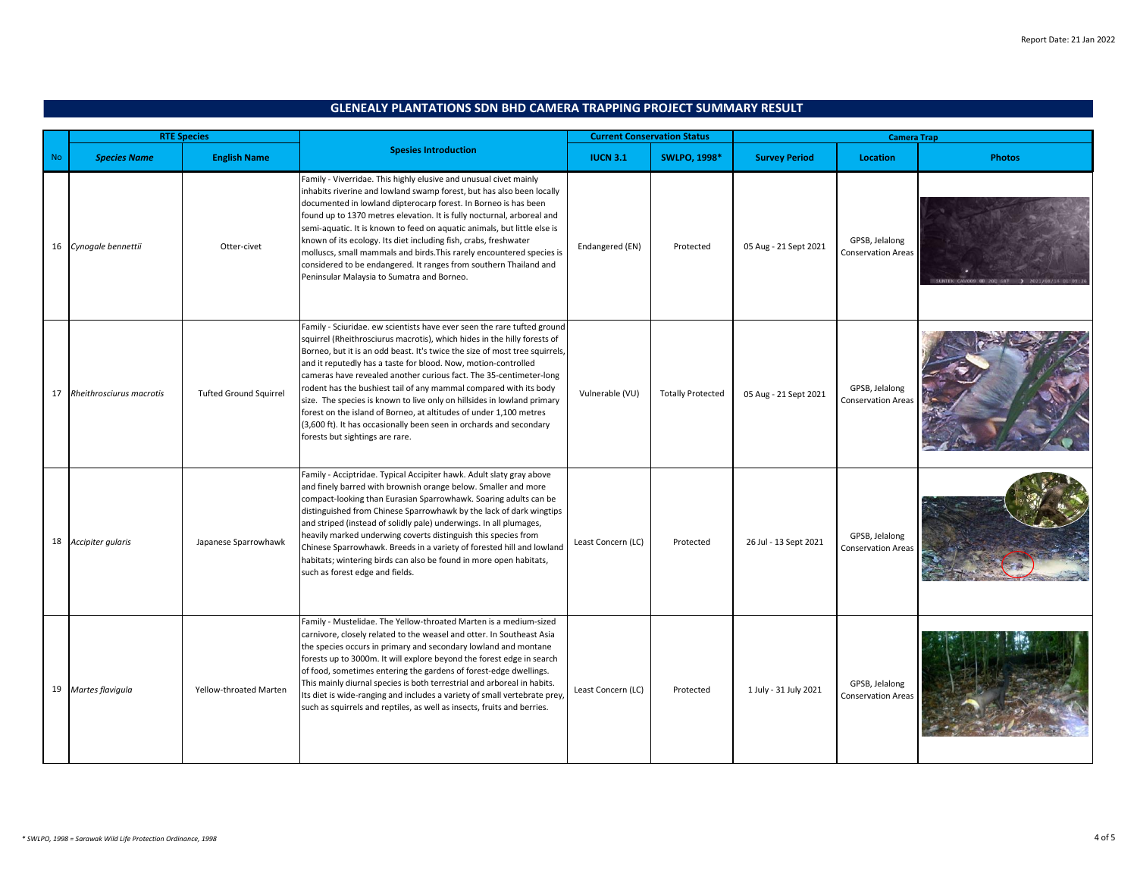|           | <b>RTE Species</b>       |                               |                                                                                                                                                                                                                                                                                                                                                                                                                                                                                                                                                                                                                                                                                                            | <b>Current Conservation Status</b> |                          | <b>Camera Trap</b>    |                                             |               |
|-----------|--------------------------|-------------------------------|------------------------------------------------------------------------------------------------------------------------------------------------------------------------------------------------------------------------------------------------------------------------------------------------------------------------------------------------------------------------------------------------------------------------------------------------------------------------------------------------------------------------------------------------------------------------------------------------------------------------------------------------------------------------------------------------------------|------------------------------------|--------------------------|-----------------------|---------------------------------------------|---------------|
| <b>No</b> | <b>Species Name</b>      | <b>English Name</b>           | <b>Spesies Introduction</b>                                                                                                                                                                                                                                                                                                                                                                                                                                                                                                                                                                                                                                                                                | <b>IUCN 3.1</b>                    | <b>SWLPO, 1998*</b>      | <b>Survey Period</b>  | <b>Location</b>                             | <b>Photos</b> |
|           | 16 Cynogale bennettii    | Otter-civet                   | Family - Viverridae. This highly elusive and unusual civet mainly<br>inhabits riverine and lowland swamp forest, but has also been locally<br>documented in lowland dipterocarp forest. In Borneo is has been<br>found up to 1370 metres elevation. It is fully nocturnal, arboreal and<br>semi-aquatic. It is known to feed on aquatic animals, but little else is<br>known of its ecology. Its diet including fish, crabs, freshwater<br>molluscs, small mammals and birds. This rarely encountered species is<br>considered to be endangered. It ranges from southern Thailand and<br>Peninsular Malaysia to Sumatra and Borneo.                                                                        | Endangered (EN)                    | Protected                | 05 Aug - 21 Sept 2021 | GPSB, Jelalong<br>Conservation Areas        |               |
| 17        | Rheithrosciurus macrotis | <b>Tufted Ground Squirrel</b> | Family - Sciuridae. ew scientists have ever seen the rare tufted ground<br>squirrel (Rheithrosciurus macrotis), which hides in the hilly forests of<br>Borneo, but it is an odd beast. It's twice the size of most tree squirrels,<br>and it reputedly has a taste for blood. Now, motion-controlled<br>cameras have revealed another curious fact. The 35-centimeter-long<br>rodent has the bushiest tail of any mammal compared with its body<br>size. The species is known to live only on hillsides in lowland primary<br>forest on the island of Borneo, at altitudes of under 1,100 metres<br>(3,600 ft). It has occasionally been seen in orchards and secondary<br>forests but sightings are rare. | Vulnerable (VU)                    | <b>Totally Protected</b> | 05 Aug - 21 Sept 2021 | GPSB, Jelalong<br><b>Conservation Areas</b> |               |
|           | 18 Accipiter gularis     | Japanese Sparrowhawk          | Family - Acciptridae. Typical Accipiter hawk. Adult slaty gray above<br>and finely barred with brownish orange below. Smaller and more<br>compact-looking than Eurasian Sparrowhawk. Soaring adults can be<br>distinguished from Chinese Sparrowhawk by the lack of dark wingtips<br>and striped (instead of solidly pale) underwings. In all plumages,<br>heavily marked underwing coverts distinguish this species from<br>Chinese Sparrowhawk. Breeds in a variety of forested hill and lowland<br>habitats; wintering birds can also be found in more open habitats,<br>such as forest edge and fields.                                                                                                | Least Concern (LC)                 | Protected                | 26 Jul - 13 Sept 2021 | GPSB, Jelalong<br>Conservation Area:        |               |
|           | 19 Martes flavigula      | Yellow-throated Marten        | Family - Mustelidae. The Yellow-throated Marten is a medium-sized<br>carnivore, closely related to the weasel and otter. In Southeast Asia<br>the species occurs in primary and secondary lowland and montane<br>forests up to 3000m. It will explore beyond the forest edge in search<br>of food, sometimes entering the gardens of forest-edge dwellings.<br>This mainly diurnal species is both terrestrial and arboreal in habits.<br>ts diet is wide-ranging and includes a variety of small vertebrate prey,<br>such as squirrels and reptiles, as well as insects, fruits and berries.                                                                                                              | Least Concern (LC)                 | Protected                | 1 July - 31 July 2021 | GPSB, Jelalong<br><b>Conservation Areas</b> |               |